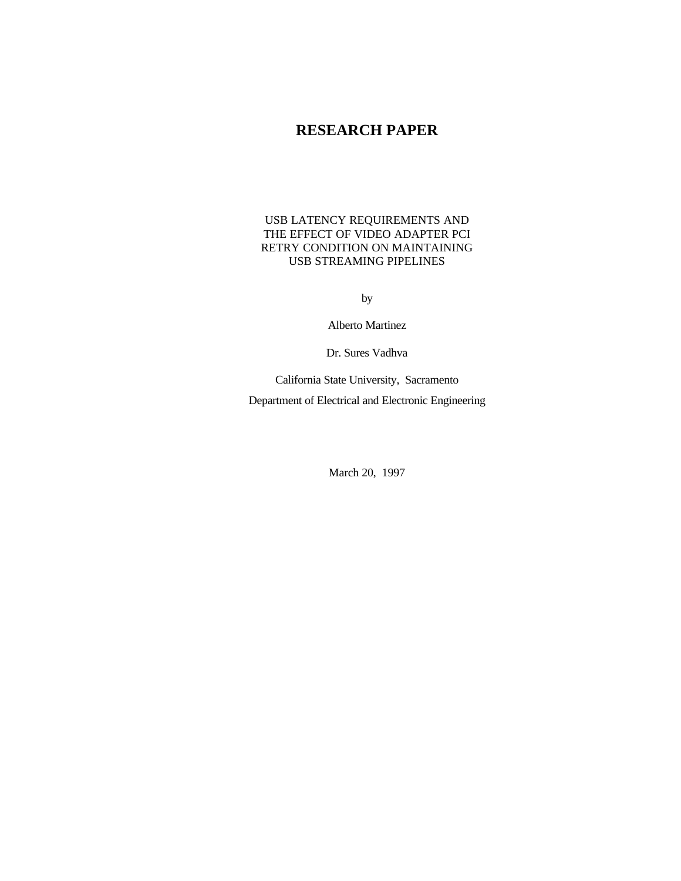# **RESEARCH PAPER**

# USB LATENCY REQUIREMENTS AND THE EFFECT OF VIDEO ADAPTER PCI RETRY CONDITION ON MAINTAINING USB STREAMING PIPELINES

by

Alberto Martinez

Dr. Sures Vadhva

California State University, Sacramento Department of Electrical and Electronic Engineering

March 20, 1997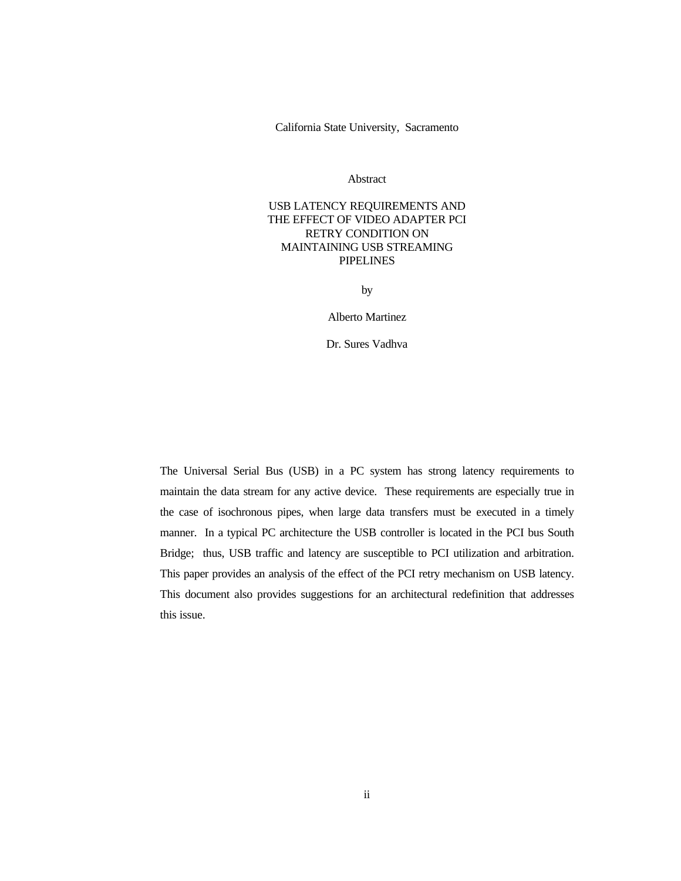California State University, Sacramento

Abstract

# USB LATENCY REQUIREMENTS AND THE EFFECT OF VIDEO ADAPTER PCI RETRY CONDITION ON MAINTAINING USB STREAMING PIPELINES

by

Alberto Martinez

Dr. Sures Vadhva

The Universal Serial Bus (USB) in a PC system has strong latency requirements to maintain the data stream for any active device. These requirements are especially true in the case of isochronous pipes, when large data transfers must be executed in a timely manner. In a typical PC architecture the USB controller is located in the PCI bus South Bridge; thus, USB traffic and latency are susceptible to PCI utilization and arbitration. This paper provides an analysis of the effect of the PCI retry mechanism on USB latency. This document also provides suggestions for an architectural redefinition that addresses this issue.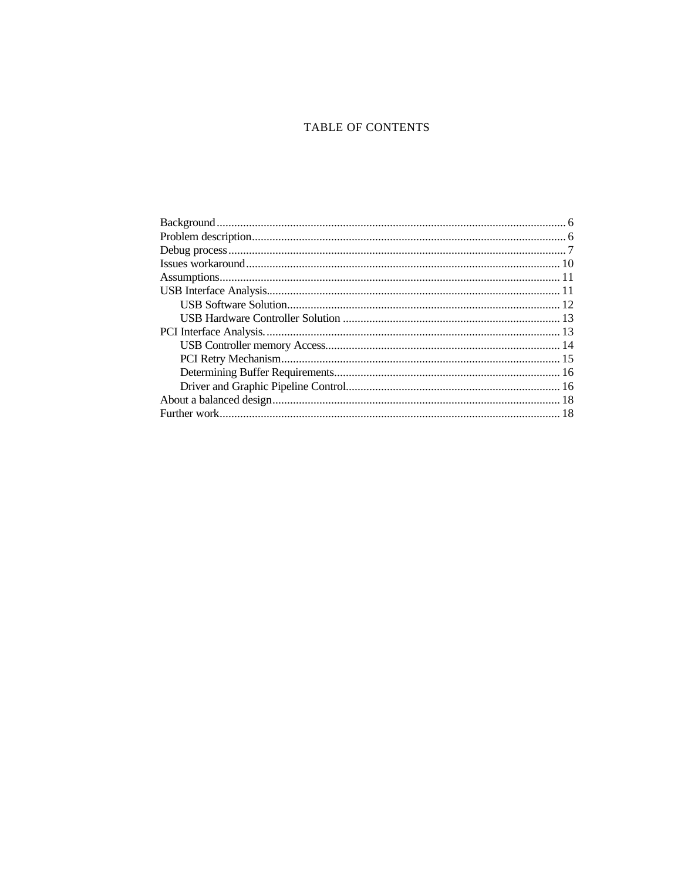# TABLE OF CONTENTS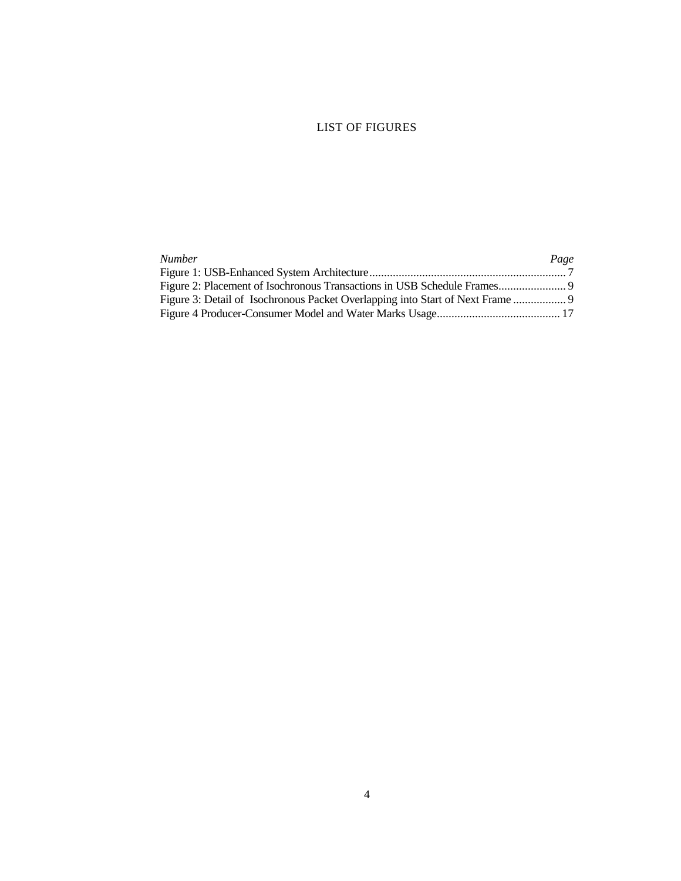# LIST OF FIGURES

| <b>Number</b>                                                               | Page |
|-----------------------------------------------------------------------------|------|
|                                                                             |      |
|                                                                             |      |
| Figure 3: Detail of Isochronous Packet Overlapping into Start of Next Frame |      |
|                                                                             |      |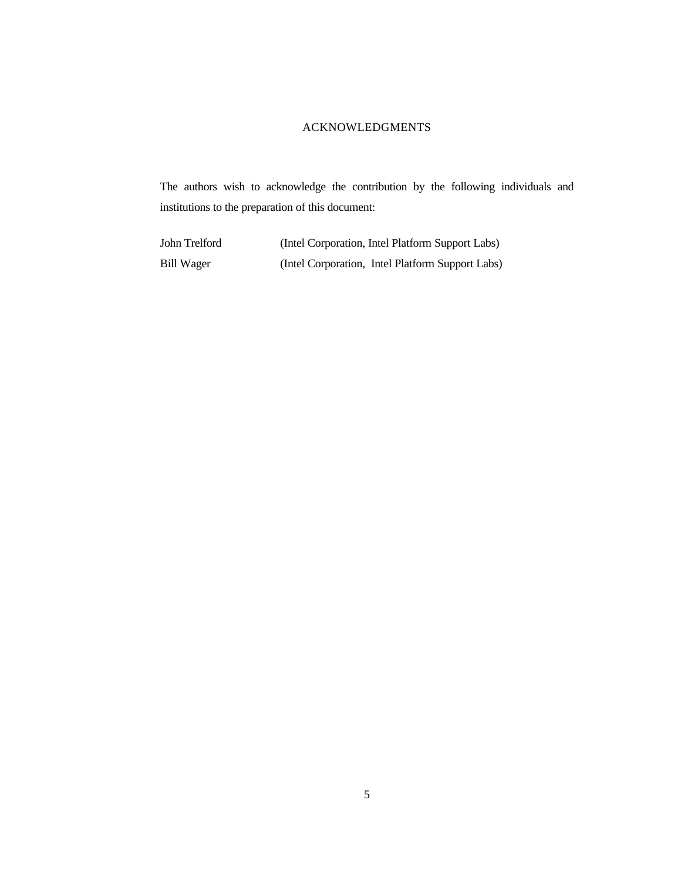# ACKNOWLEDGMENTS

The authors wish to acknowledge the contribution by the following individuals and institutions to the preparation of this document:

| John Trelford | (Intel Corporation, Intel Platform Support Labs) |
|---------------|--------------------------------------------------|
| Bill Wager    | (Intel Corporation, Intel Platform Support Labs) |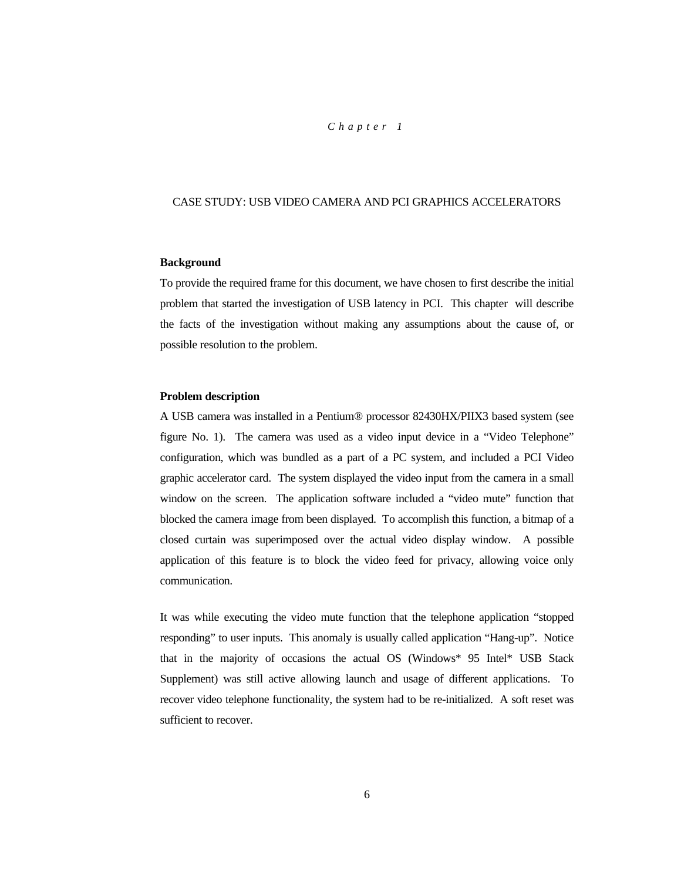### *Chapter 1*

# CASE STUDY: USB VIDEO CAMERA AND PCI GRAPHICS ACCELERATORS

#### **Background**

To provide the required frame for this document, we have chosen to first describe the initial problem that started the investigation of USB latency in PCI. This chapter will describe the facts of the investigation without making any assumptions about the cause of, or possible resolution to the problem.

# **Problem description**

A USB camera was installed in a Pentium® processor 82430HX/PIIX3 based system (see figure No. 1). The camera was used as a video input device in a "Video Telephone" configuration, which was bundled as a part of a PC system, and included a PCI Video graphic accelerator card. The system displayed the video input from the camera in a small window on the screen. The application software included a "video mute" function that blocked the camera image from been displayed. To accomplish this function, a bitmap of a closed curtain was superimposed over the actual video display window. A possible application of this feature is to block the video feed for privacy, allowing voice only communication.

It was while executing the video mute function that the telephone application "stopped responding" to user inputs. This anomaly is usually called application "Hang-up". Notice that in the majority of occasions the actual OS (Windows\* 95 Intel\* USB Stack Supplement) was still active allowing launch and usage of different applications. To recover video telephone functionality, the system had to be re-initialized. A soft reset was sufficient to recover.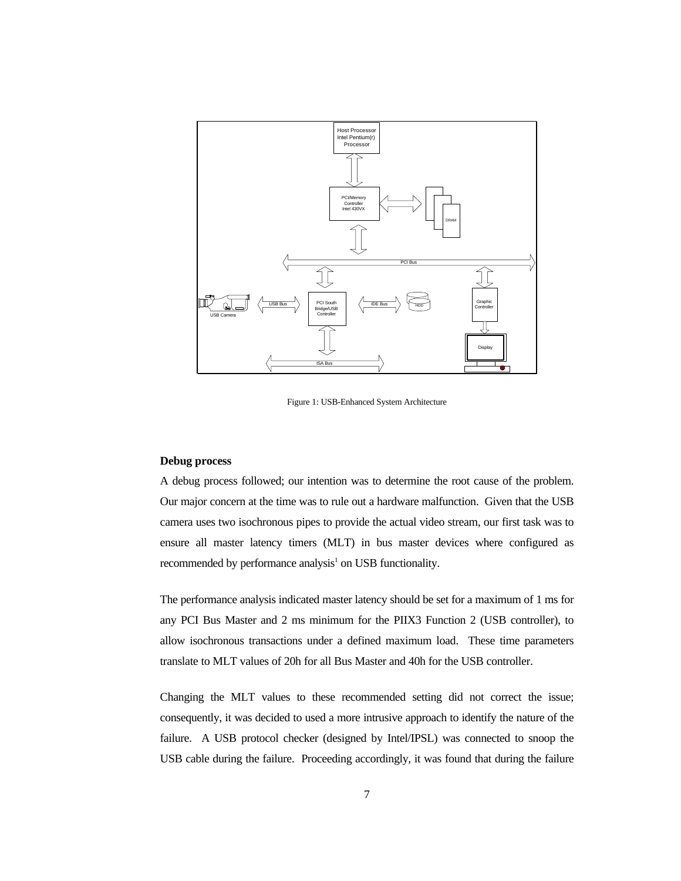

Figure 1: USB-Enhanced System Architecture

#### **Debug process**

A debug process followed; our intention was to determine the root cause of the problem. Our major concern at the time was to rule out a hardware malfunction. Given that the USB camera uses two isochronous pipes to provide the actual video stream, our first task was to ensure all master latency timers (MLT) in bus master devices where configured as recommended by performance analysis<sup>1</sup> on USB functionality.

The performance analysis indicated master latency should be set for a maximum of 1 ms for any PCI Bus Master and 2 ms minimum for the PIIX3 Function 2 (USB controller), to allow isochronous transactions under a defined maximum load. These time parameters translate to MLT values of 20h for all Bus Master and 40h for the USB controller.

Changing the MLT values to these recommended setting did not correct the issue; consequently, it was decided to used a more intrusive approach to identify the nature of the failure. A USB protocol checker (designed by Intel/IPSL) was connected to snoop the USB cable during the failure. Proceeding accordingly, it was found that during the failure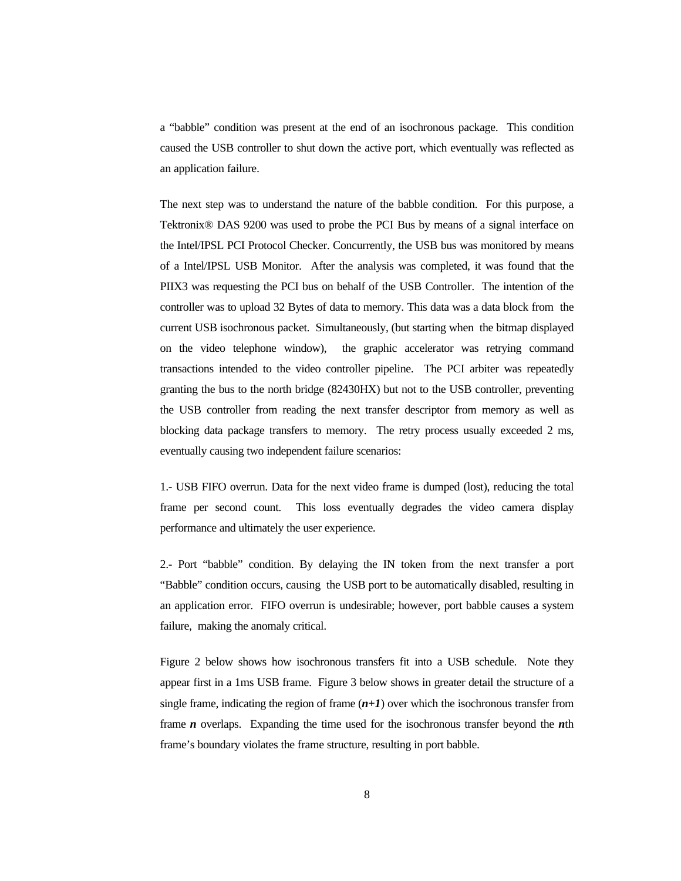a "babble" condition was present at the end of an isochronous package. This condition caused the USB controller to shut down the active port, which eventually was reflected as an application failure.

The next step was to understand the nature of the babble condition. For this purpose, a Tektronix® DAS 9200 was used to probe the PCI Bus by means of a signal interface on the Intel/IPSL PCI Protocol Checker. Concurrently, the USB bus was monitored by means of a Intel/IPSL USB Monitor. After the analysis was completed, it was found that the PIIX3 was requesting the PCI bus on behalf of the USB Controller. The intention of the controller was to upload 32 Bytes of data to memory. This data was a data block from the current USB isochronous packet. Simultaneously, (but starting when the bitmap displayed on the video telephone window), the graphic accelerator was retrying command transactions intended to the video controller pipeline. The PCI arbiter was repeatedly granting the bus to the north bridge (82430HX) but not to the USB controller, preventing the USB controller from reading the next transfer descriptor from memory as well as blocking data package transfers to memory. The retry process usually exceeded 2 ms, eventually causing two independent failure scenarios:

1.- USB FIFO overrun. Data for the next video frame is dumped (lost), reducing the total frame per second count. This loss eventually degrades the video camera display performance and ultimately the user experience.

2.- Port "babble" condition. By delaying the IN token from the next transfer a port "Babble" condition occurs, causing the USB port to be automatically disabled, resulting in an application error. FIFO overrun is undesirable; however, port babble causes a system failure, making the anomaly critical.

Figure 2 below shows how isochronous transfers fit into a USB schedule. Note they appear first in a 1ms USB frame. Figure 3 below shows in greater detail the structure of a single frame, indicating the region of frame  $(n+1)$  over which the isochronous transfer from frame *n* overlaps. Expanding the time used for the isochronous transfer beyond the *n*th frame's boundary violates the frame structure, resulting in port babble.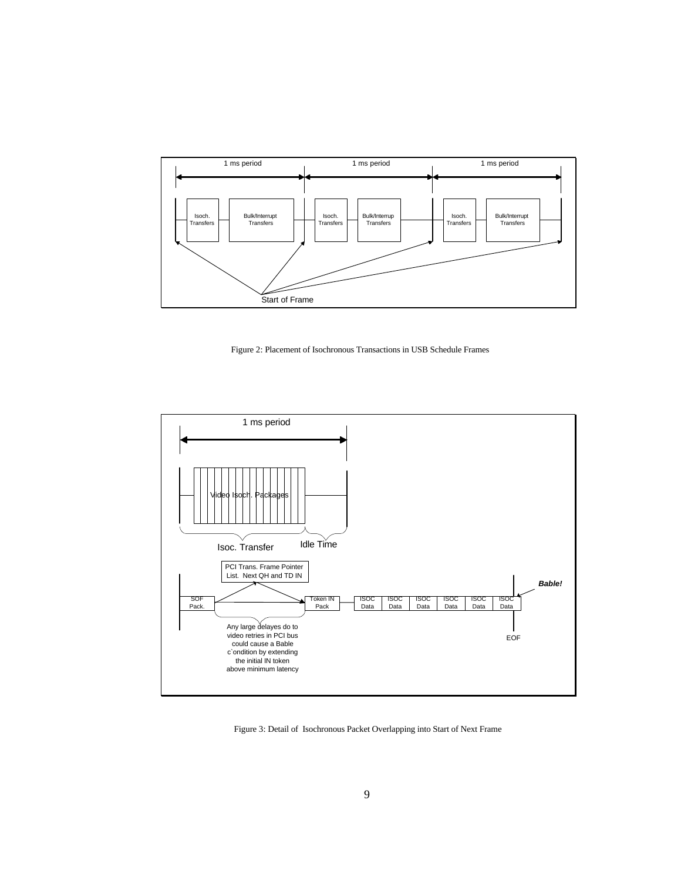

Figure 2: Placement of Isochronous Transactions in USB Schedule Frames



Figure 3: Detail of Isochronous Packet Overlapping into Start of Next Frame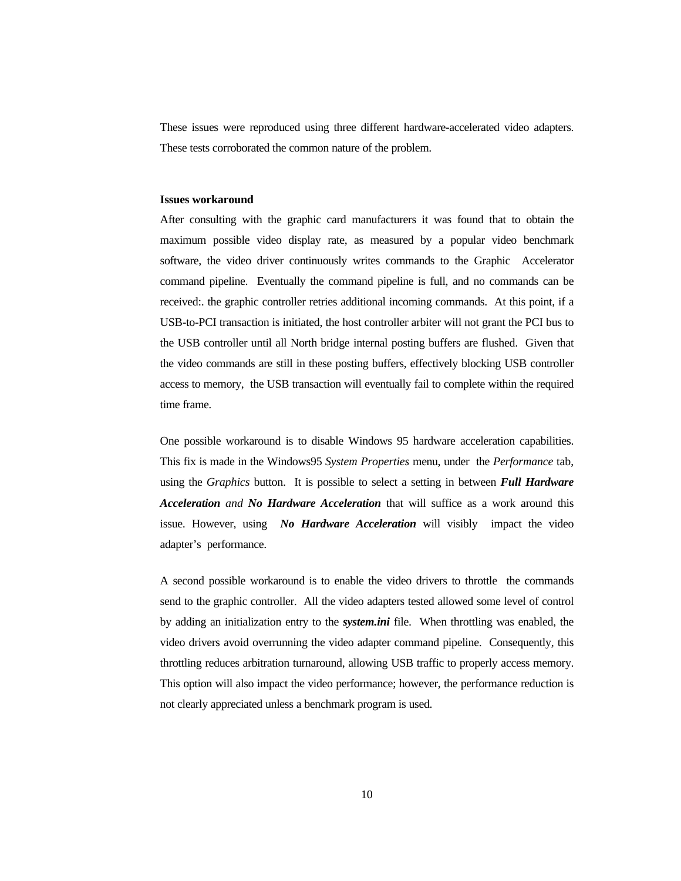These issues were reproduced using three different hardware-accelerated video adapters. These tests corroborated the common nature of the problem.

#### **Issues workaround**

After consulting with the graphic card manufacturers it was found that to obtain the maximum possible video display rate, as measured by a popular video benchmark software, the video driver continuously writes commands to the Graphic Accelerator command pipeline. Eventually the command pipeline is full, and no commands can be received:. the graphic controller retries additional incoming commands. At this point, if a USB-to-PCI transaction is initiated, the host controller arbiter will not grant the PCI bus to the USB controller until all North bridge internal posting buffers are flushed. Given that the video commands are still in these posting buffers, effectively blocking USB controller access to memory, the USB transaction will eventually fail to complete within the required time frame.

One possible workaround is to disable Windows 95 hardware acceleration capabilities. This fix is made in the Windows95 *System Properties* menu, under the *Performance* tab, using the *Graphics* button. It is possible to select a setting in between *Full Hardware Acceleration and No Hardware Acceleration* that will suffice as a work around this issue. However, using *No Hardware Acceleration* will visibly impact the video adapter's performance.

A second possible workaround is to enable the video drivers to throttle the commands send to the graphic controller. All the video adapters tested allowed some level of control by adding an initialization entry to the *system.ini* file. When throttling was enabled, the video drivers avoid overrunning the video adapter command pipeline. Consequently, this throttling reduces arbitration turnaround, allowing USB traffic to properly access memory. This option will also impact the video performance; however, the performance reduction is not clearly appreciated unless a benchmark program is used.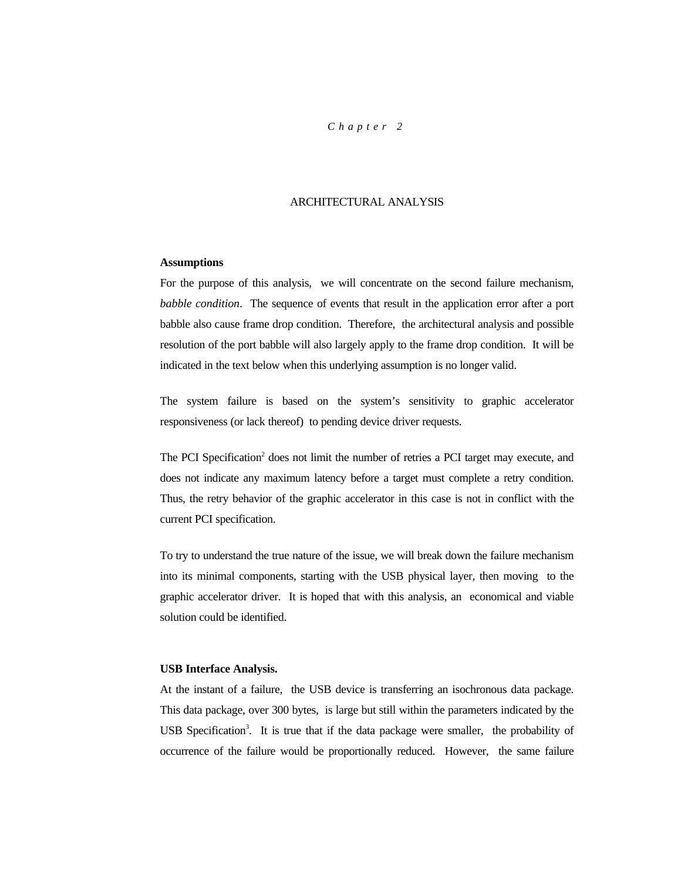### *Chapter 2*

# ARCHITECTURAL ANALYSIS

#### **Assumptions**

For the purpose of this analysis, we will concentrate on the second failure mechanism, *babble condition*. The sequence of events that result in the application error after a port babble also cause frame drop condition. Therefore, the architectural analysis and possible resolution of the port babble will also largely apply to the frame drop condition. It will be indicated in the text below when this underlying assumption is no longer valid.

The system failure is based on the system's sensitivity to graphic accelerator responsiveness (or lack thereof) to pending device driver requests.

The PCI Specification<sup>2</sup> does not limit the number of retries a PCI target may execute, and does not indicate any maximum latency before a target must complete a retry condition. Thus, the retry behavior of the graphic accelerator in this case is not in conflict with the current PCI specification.

To try to understand the true nature of the issue, we will break down the failure mechanism into its minimal components, starting with the USB physical layer, then moving to the graphic accelerator driver. It is hoped that with this analysis, an economical and viable solution could be identified.

#### **USB Interface Analysis.**

At the instant of a failure, the USB device is transferring an isochronous data package. This data package, over 300 bytes, is large but still within the parameters indicated by the USB Specification<sup>3</sup>. It is true that if the data package were smaller, the probability of occurrence of the failure would be proportionally reduced. However, the same failure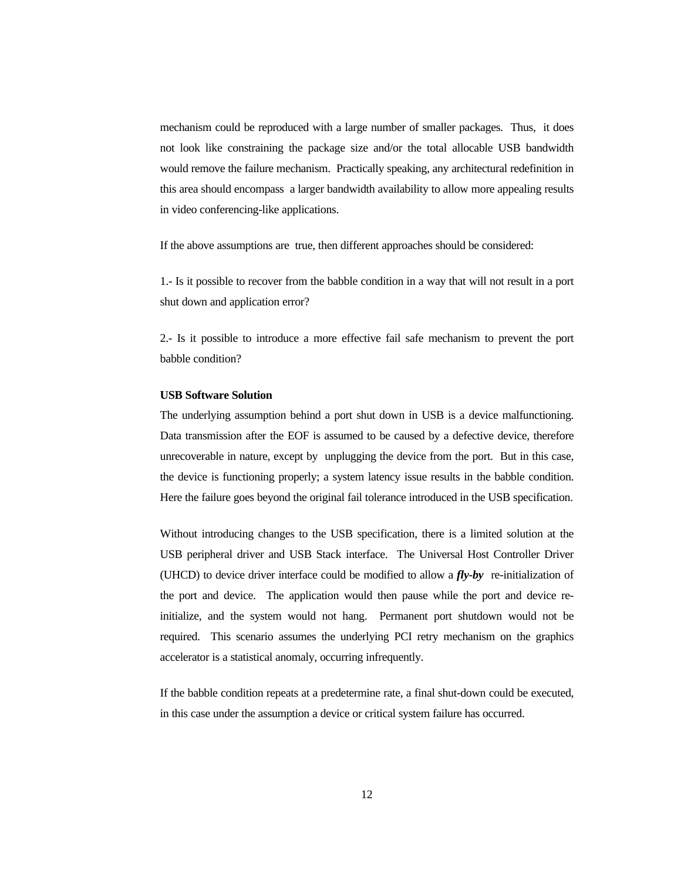mechanism could be reproduced with a large number of smaller packages. Thus, it does not look like constraining the package size and/or the total allocable USB bandwidth would remove the failure mechanism. Practically speaking, any architectural redefinition in this area should encompass a larger bandwidth availability to allow more appealing results in video conferencing-like applications.

If the above assumptions are true, then different approaches should be considered:

1.- Is it possible to recover from the babble condition in a way that will not result in a port shut down and application error?

2.- Is it possible to introduce a more effective fail safe mechanism to prevent the port babble condition?

# **USB Software Solution**

The underlying assumption behind a port shut down in USB is a device malfunctioning. Data transmission after the EOF is assumed to be caused by a defective device, therefore unrecoverable in nature, except by unplugging the device from the port. But in this case, the device is functioning properly; a system latency issue results in the babble condition. Here the failure goes beyond the original fail tolerance introduced in the USB specification.

Without introducing changes to the USB specification, there is a limited solution at the USB peripheral driver and USB Stack interface. The Universal Host Controller Driver (UHCD) to device driver interface could be modified to allow a *fly-by* re-initialization of the port and device. The application would then pause while the port and device reinitialize, and the system would not hang. Permanent port shutdown would not be required. This scenario assumes the underlying PCI retry mechanism on the graphics accelerator is a statistical anomaly, occurring infrequently.

If the babble condition repeats at a predetermine rate, a final shut-down could be executed, in this case under the assumption a device or critical system failure has occurred.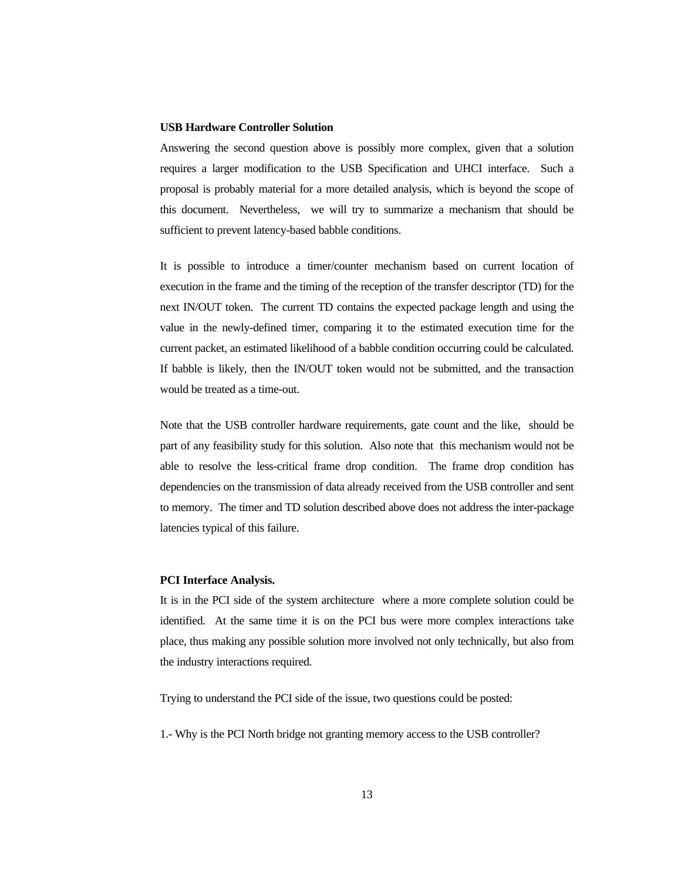### **USB Hardware Controller Solution**

Answering the second question above is possibly more complex, given that a solution requires a larger modification to the USB Specification and UHCI interface. Such a proposal is probably material for a more detailed analysis, which is beyond the scope of this document. Nevertheless, we will try to summarize a mechanism that should be sufficient to prevent latency-based babble conditions.

It is possible to introduce a timer/counter mechanism based on current location of execution in the frame and the timing of the reception of the transfer descriptor (TD) for the next IN/OUT token. The current TD contains the expected package length and using the value in the newly-defined timer, comparing it to the estimated execution time for the current packet, an estimated likelihood of a babble condition occurring could be calculated. If babble is likely, then the IN/OUT token would not be submitted, and the transaction would be treated as a time-out.

Note that the USB controller hardware requirements, gate count and the like, should be part of any feasibility study for this solution. Also note that this mechanism would not be able to resolve the less-critical frame drop condition. The frame drop condition has dependencies on the transmission of data already received from the USB controller and sent to memory. The timer and TD solution described above does not address the inter-package latencies typical of this failure.

#### **PCI Interface Analysis.**

It is in the PCI side of the system architecture where a more complete solution could be identified. At the same time it is on the PCI bus were more complex interactions take place, thus making any possible solution more involved not only technically, but also from the industry interactions required.

Trying to understand the PCI side of the issue, two questions could be posted:

1.- Why is the PCI North bridge not granting memory access to the USB controller?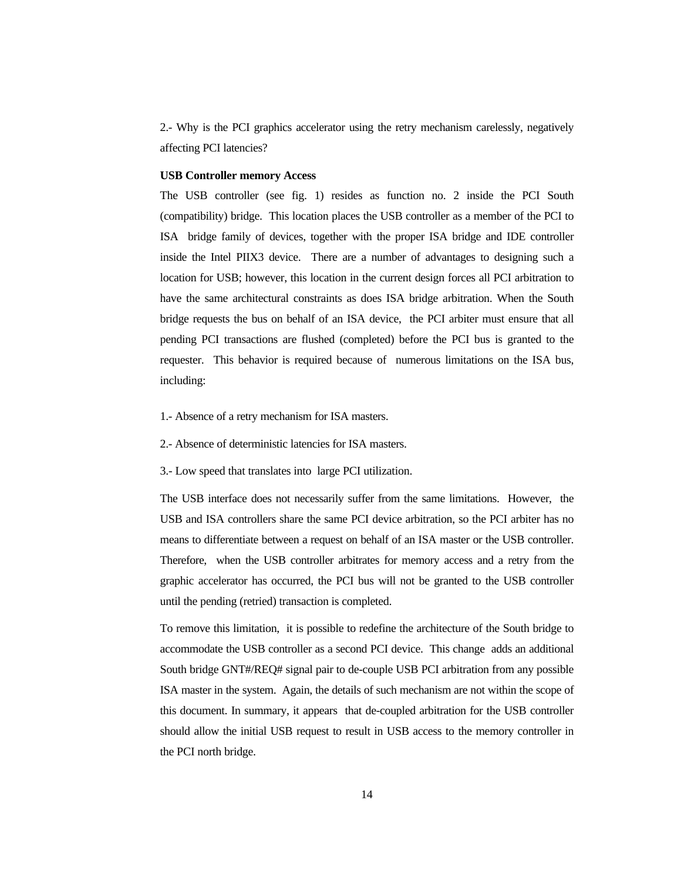2.- Why is the PCI graphics accelerator using the retry mechanism carelessly, negatively affecting PCI latencies?

#### **USB Controller memory Access**

The USB controller (see fig. 1) resides as function no. 2 inside the PCI South (compatibility) bridge. This location places the USB controller as a member of the PCI to ISA bridge family of devices, together with the proper ISA bridge and IDE controller inside the Intel PIIX3 device. There are a number of advantages to designing such a location for USB; however, this location in the current design forces all PCI arbitration to have the same architectural constraints as does ISA bridge arbitration. When the South bridge requests the bus on behalf of an ISA device, the PCI arbiter must ensure that all pending PCI transactions are flushed (completed) before the PCI bus is granted to the requester. This behavior is required because of numerous limitations on the ISA bus, including:

- 1.- Absence of a retry mechanism for ISA masters.
- 2.- Absence of deterministic latencies for ISA masters.
- 3.- Low speed that translates into large PCI utilization.

The USB interface does not necessarily suffer from the same limitations. However, the USB and ISA controllers share the same PCI device arbitration, so the PCI arbiter has no means to differentiate between a request on behalf of an ISA master or the USB controller. Therefore, when the USB controller arbitrates for memory access and a retry from the graphic accelerator has occurred, the PCI bus will not be granted to the USB controller until the pending (retried) transaction is completed.

To remove this limitation, it is possible to redefine the architecture of the South bridge to accommodate the USB controller as a second PCI device. This change adds an additional South bridge GNT#/REQ# signal pair to de-couple USB PCI arbitration from any possible ISA master in the system. Again, the details of such mechanism are not within the scope of this document. In summary, it appears that de-coupled arbitration for the USB controller should allow the initial USB request to result in USB access to the memory controller in the PCI north bridge.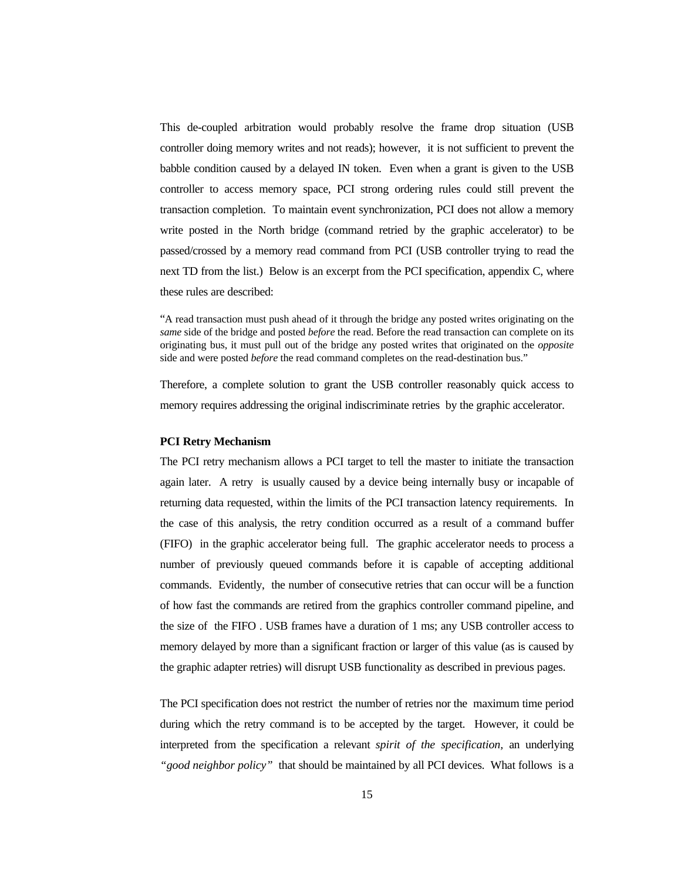This de-coupled arbitration would probably resolve the frame drop situation (USB controller doing memory writes and not reads); however, it is not sufficient to prevent the babble condition caused by a delayed IN token. Even when a grant is given to the USB controller to access memory space, PCI strong ordering rules could still prevent the transaction completion. To maintain event synchronization, PCI does not allow a memory write posted in the North bridge (command retried by the graphic accelerator) to be passed/crossed by a memory read command from PCI (USB controller trying to read the next TD from the list.) Below is an excerpt from the PCI specification, appendix C, where these rules are described:

"A read transaction must push ahead of it through the bridge any posted writes originating on the *same* side of the bridge and posted *before* the read. Before the read transaction can complete on its originating bus, it must pull out of the bridge any posted writes that originated on the *opposite* side and were posted *before* the read command completes on the read-destination bus."

Therefore, a complete solution to grant the USB controller reasonably quick access to memory requires addressing the original indiscriminate retries by the graphic accelerator.

#### **PCI Retry Mechanism**

The PCI retry mechanism allows a PCI target to tell the master to initiate the transaction again later. A retry is usually caused by a device being internally busy or incapable of returning data requested, within the limits of the PCI transaction latency requirements. In the case of this analysis, the retry condition occurred as a result of a command buffer (FIFO) in the graphic accelerator being full. The graphic accelerator needs to process a number of previously queued commands before it is capable of accepting additional commands. Evidently, the number of consecutive retries that can occur will be a function of how fast the commands are retired from the graphics controller command pipeline, and the size of the FIFO . USB frames have a duration of 1 ms; any USB controller access to memory delayed by more than a significant fraction or larger of this value (as is caused by the graphic adapter retries) will disrupt USB functionality as described in previous pages.

The PCI specification does not restrict the number of retries nor the maximum time period during which the retry command is to be accepted by the target. However, it could be interpreted from the specification a relevant *spirit of the specification,* an underlying *"good neighbor policy"* that should be maintained by all PCI devices. What follows is a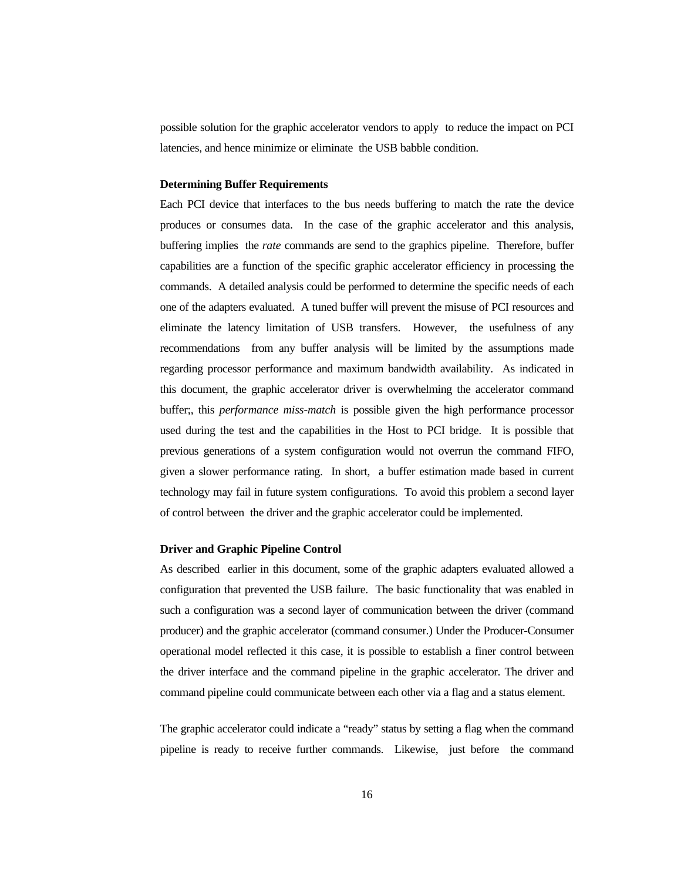possible solution for the graphic accelerator vendors to apply to reduce the impact on PCI latencies, and hence minimize or eliminate the USB babble condition.

#### **Determining Buffer Requirements**

Each PCI device that interfaces to the bus needs buffering to match the rate the device produces or consumes data. In the case of the graphic accelerator and this analysis, buffering implies the *rate* commands are send to the graphics pipeline. Therefore, buffer capabilities are a function of the specific graphic accelerator efficiency in processing the commands. A detailed analysis could be performed to determine the specific needs of each one of the adapters evaluated. A tuned buffer will prevent the misuse of PCI resources and eliminate the latency limitation of USB transfers. However, the usefulness of any recommendations from any buffer analysis will be limited by the assumptions made regarding processor performance and maximum bandwidth availability. As indicated in this document, the graphic accelerator driver is overwhelming the accelerator command buffer;, this *performance miss-match* is possible given the high performance processor used during the test and the capabilities in the Host to PCI bridge. It is possible that previous generations of a system configuration would not overrun the command FIFO, given a slower performance rating. In short, a buffer estimation made based in current technology may fail in future system configurations. To avoid this problem a second layer of control between the driver and the graphic accelerator could be implemented.

# **Driver and Graphic Pipeline Control**

As described earlier in this document, some of the graphic adapters evaluated allowed a configuration that prevented the USB failure. The basic functionality that was enabled in such a configuration was a second layer of communication between the driver (command producer) and the graphic accelerator (command consumer.) Under the Producer-Consumer operational model reflected it this case, it is possible to establish a finer control between the driver interface and the command pipeline in the graphic accelerator. The driver and command pipeline could communicate between each other via a flag and a status element.

The graphic accelerator could indicate a "ready" status by setting a flag when the command pipeline is ready to receive further commands. Likewise, just before the command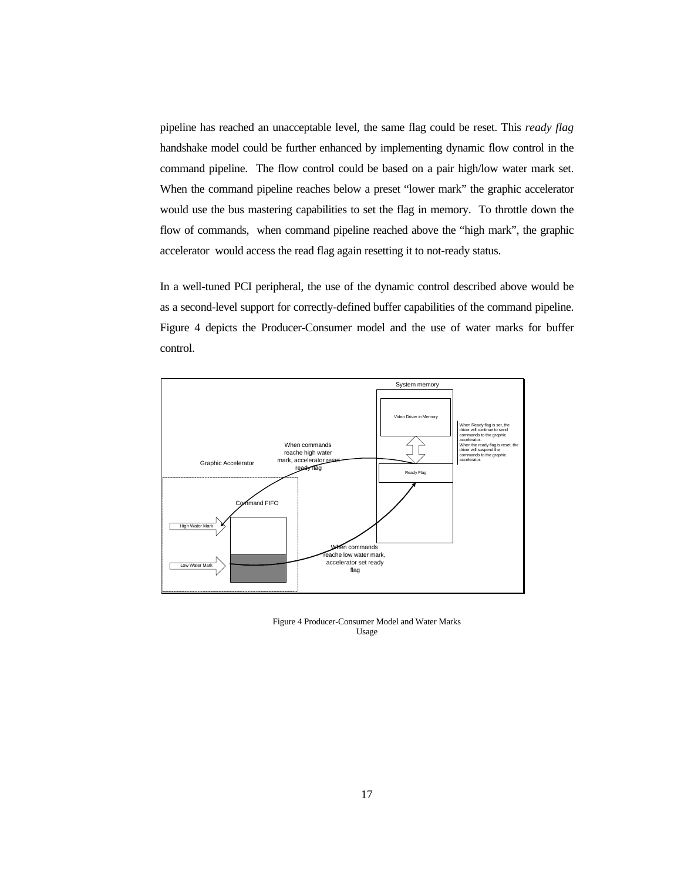pipeline has reached an unacceptable level, the same flag could be reset. This *ready flag* handshake model could be further enhanced by implementing dynamic flow control in the command pipeline. The flow control could be based on a pair high/low water mark set. When the command pipeline reaches below a preset "lower mark" the graphic accelerator would use the bus mastering capabilities to set the flag in memory. To throttle down the flow of commands, when command pipeline reached above the "high mark", the graphic accelerator would access the read flag again resetting it to not-ready status.

In a well-tuned PCI peripheral, the use of the dynamic control described above would be as a second-level support for correctly-defined buffer capabilities of the command pipeline. Figure 4 depicts the Producer-Consumer model and the use of water marks for buffer control.



Figure 4 Producer-Consumer Model and Water Marks Usage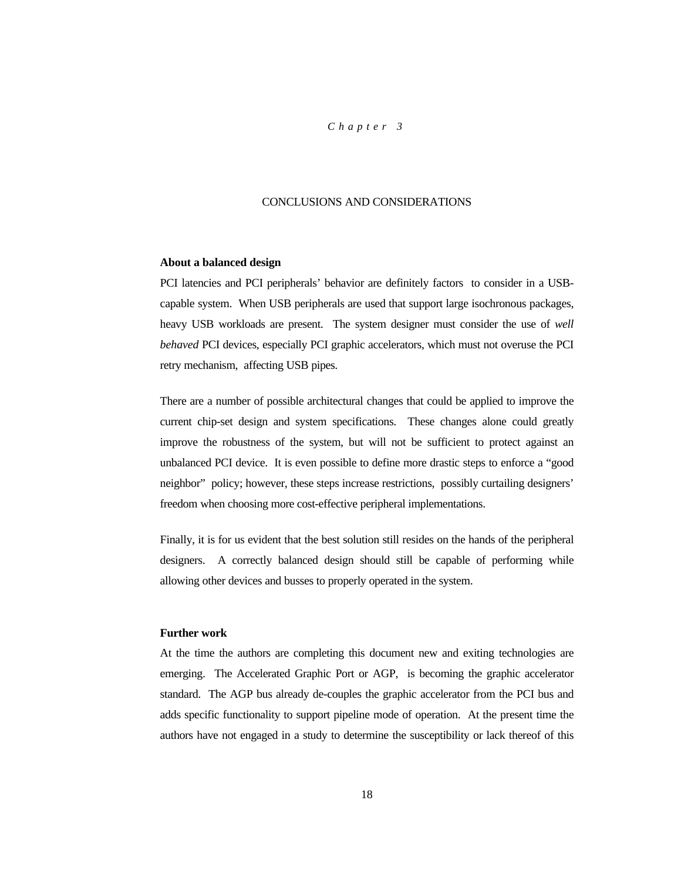### *Chapter 3*

### CONCLUSIONS AND CONSIDERATIONS

### **About a balanced design**

PCI latencies and PCI peripherals' behavior are definitely factors to consider in a USBcapable system. When USB peripherals are used that support large isochronous packages, heavy USB workloads are present. The system designer must consider the use of *well behaved* PCI devices, especially PCI graphic accelerators, which must not overuse the PCI retry mechanism, affecting USB pipes.

There are a number of possible architectural changes that could be applied to improve the current chip-set design and system specifications. These changes alone could greatly improve the robustness of the system, but will not be sufficient to protect against an unbalanced PCI device. It is even possible to define more drastic steps to enforce a "good neighbor" policy; however, these steps increase restrictions, possibly curtailing designers' freedom when choosing more cost-effective peripheral implementations.

Finally, it is for us evident that the best solution still resides on the hands of the peripheral designers. A correctly balanced design should still be capable of performing while allowing other devices and busses to properly operated in the system.

# **Further work**

At the time the authors are completing this document new and exiting technologies are emerging. The Accelerated Graphic Port or AGP, is becoming the graphic accelerator standard. The AGP bus already de-couples the graphic accelerator from the PCI bus and adds specific functionality to support pipeline mode of operation. At the present time the authors have not engaged in a study to determine the susceptibility or lack thereof of this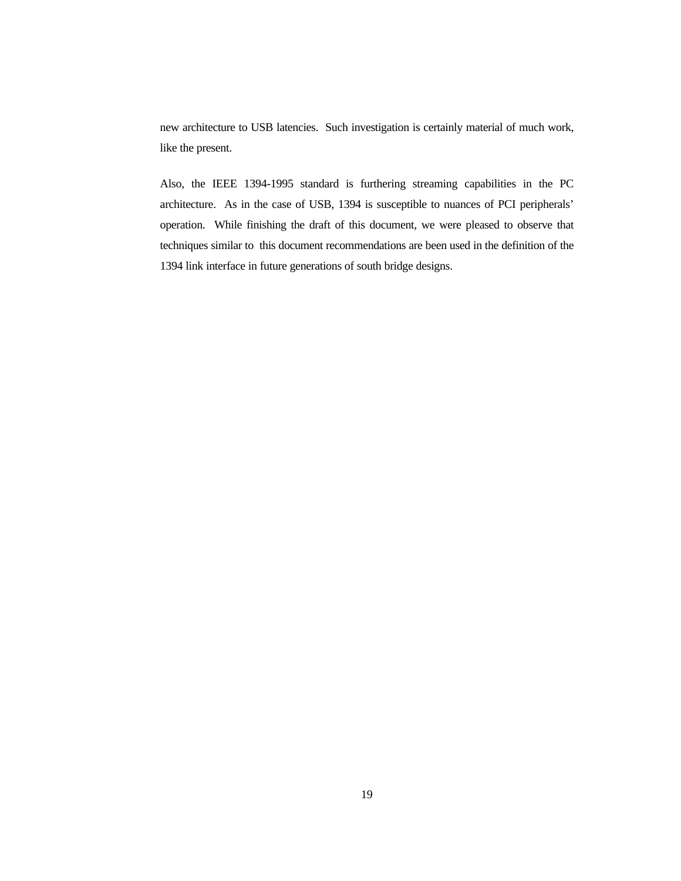new architecture to USB latencies. Such investigation is certainly material of much work, like the present.

Also, the IEEE 1394-1995 standard is furthering streaming capabilities in the PC architecture. As in the case of USB, 1394 is susceptible to nuances of PCI peripherals' operation. While finishing the draft of this document, we were pleased to observe that techniques similar to this document recommendations are been used in the definition of the 1394 link interface in future generations of south bridge designs.